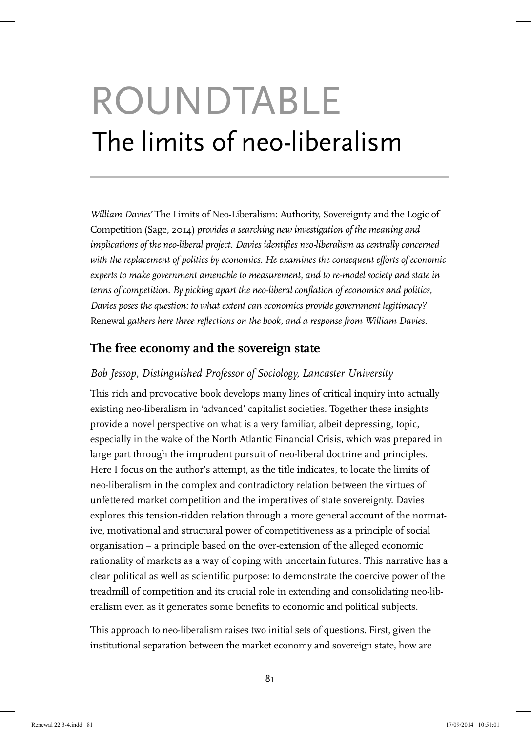# ROUNDTABLE The limits of neo-liberalism

*William Davies'* The Limits of Neo-Liberalism: Authority, Sovereignty and the Logic of Competition (Sage, 2014) *provides a searching new investigation of the meaning and implications of the neo-liberal project. Davies identifies neo-liberalism as centrally concerned with the replacement of politics by economics. He examines the consequent efforts of economic experts to make government amenable to measurement, and to re-model society and state in terms of competition. By picking apart the neo-liberal conflation of economics and politics, Davies poses the question: to what extent can economics provide government legitimacy?*  Renewal *gathers here three reflections on the book, and a response from William Davies.*

# **The free economy and the sovereign state**

## *Bob Jessop, Distinguished Professor of Sociology, Lancaster University*

This rich and provocative book develops many lines of critical inquiry into actually existing neo-liberalism in 'advanced' capitalist societies. Together these insights provide a novel perspective on what is a very familiar, albeit depressing, topic, especially in the wake of the North Atlantic Financial Crisis, which was prepared in large part through the imprudent pursuit of neo-liberal doctrine and principles. Here I focus on the author's attempt, as the title indicates, to locate the limits of neo-liberalism in the complex and contradictory relation between the virtues of unfettered market competition and the imperatives of state sovereignty. Davies explores this tension-ridden relation through a more general account of the normative, motivational and structural power of competitiveness as a principle of social organisation – a principle based on the over-extension of the alleged economic rationality of markets as a way of coping with uncertain futures. This narrative has a clear political as well as scientific purpose: to demonstrate the coercive power of the treadmill of competition and its crucial role in extending and consolidating neo-liberalism even as it generates some benefits to economic and political subjects.

This approach to neo-liberalism raises two initial sets of questions. First, given the institutional separation between the market economy and sovereign state, how are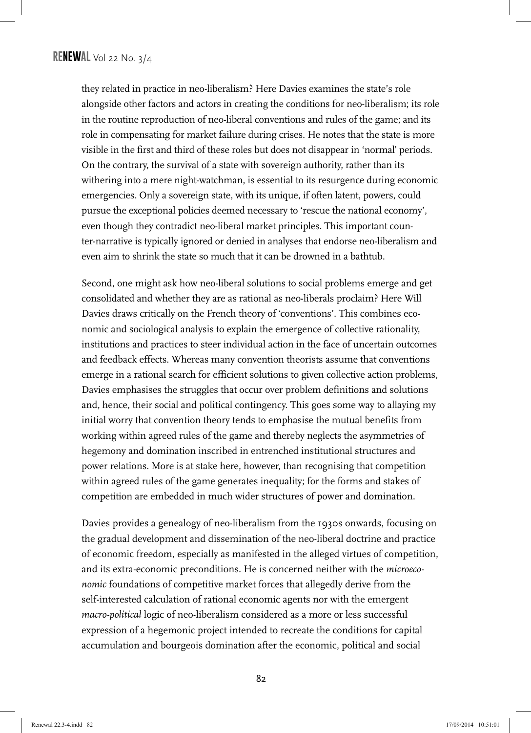they related in practice in neo-liberalism? Here Davies examines the state's role alongside other factors and actors in creating the conditions for neo-liberalism; its role in the routine reproduction of neo-liberal conventions and rules of the game; and its role in compensating for market failure during crises. He notes that the state is more visible in the first and third of these roles but does not disappear in 'normal' periods. On the contrary, the survival of a state with sovereign authority, rather than its withering into a mere night-watchman, is essential to its resurgence during economic emergencies. Only a sovereign state, with its unique, if often latent, powers, could pursue the exceptional policies deemed necessary to 'rescue the national economy', even though they contradict neo-liberal market principles. This important counter-narrative is typically ignored or denied in analyses that endorse neo-liberalism and even aim to shrink the state so much that it can be drowned in a bathtub.

Second, one might ask how neo-liberal solutions to social problems emerge and get consolidated and whether they are as rational as neo-liberals proclaim? Here Will Davies draws critically on the French theory of 'conventions'. This combines economic and sociological analysis to explain the emergence of collective rationality, institutions and practices to steer individual action in the face of uncertain outcomes and feedback effects. Whereas many convention theorists assume that conventions emerge in a rational search for efficient solutions to given collective action problems, Davies emphasises the struggles that occur over problem definitions and solutions and, hence, their social and political contingency. This goes some way to allaying my initial worry that convention theory tends to emphasise the mutual benefits from working within agreed rules of the game and thereby neglects the asymmetries of hegemony and domination inscribed in entrenched institutional structures and power relations. More is at stake here, however, than recognising that competition within agreed rules of the game generates inequality; for the forms and stakes of competition are embedded in much wider structures of power and domination.

Davies provides a genealogy of neo-liberalism from the 1930s onwards, focusing on the gradual development and dissemination of the neo-liberal doctrine and practice of economic freedom, especially as manifested in the alleged virtues of competition, and its extra-economic preconditions. He is concerned neither with the *microeconomic* foundations of competitive market forces that allegedly derive from the self-interested calculation of rational economic agents nor with the emergent *macro-political* logic of neo-liberalism considered as a more or less successful expression of a hegemonic project intended to recreate the conditions for capital accumulation and bourgeois domination after the economic, political and social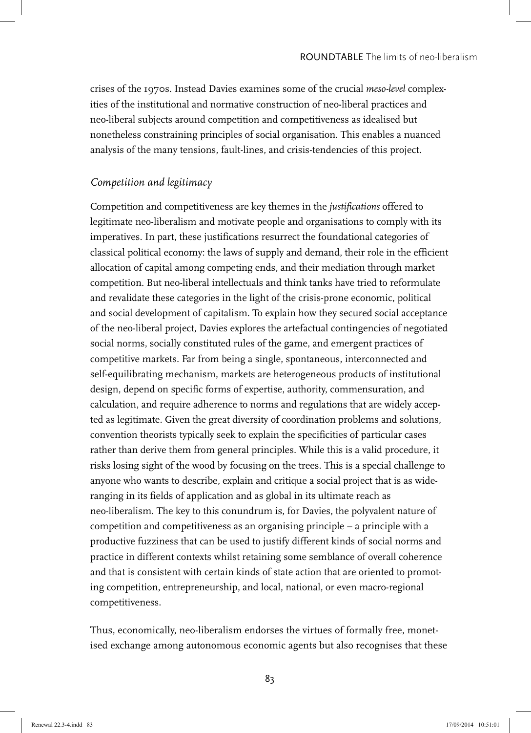crises of the 1970s. Instead Davies examines some of the crucial *meso-level* complexities of the institutional and normative construction of neo-liberal practices and neo-liberal subjects around competition and competitiveness as idealised but nonetheless constraining principles of social organisation. This enables a nuanced analysis of the many tensions, fault-lines, and crisis-tendencies of this project.

### *Competition and legitimacy*

Competition and competitiveness are key themes in the *justifications* offered to legitimate neo-liberalism and motivate people and organisations to comply with its imperatives. In part, these justifications resurrect the foundational categories of classical political economy: the laws of supply and demand, their role in the efficient allocation of capital among competing ends, and their mediation through market competition. But neo-liberal intellectuals and think tanks have tried to reformulate and revalidate these categories in the light of the crisis-prone economic, political and social development of capitalism. To explain how they secured social acceptance of the neo-liberal project, Davies explores the artefactual contingencies of negotiated social norms, socially constituted rules of the game, and emergent practices of competitive markets. Far from being a single, spontaneous, interconnected and self-equilibrating mechanism, markets are heterogeneous products of institutional design, depend on specific forms of expertise, authority, commensuration, and calculation, and require adherence to norms and regulations that are widely accepted as legitimate. Given the great diversity of coordination problems and solutions, convention theorists typically seek to explain the specificities of particular cases rather than derive them from general principles. While this is a valid procedure, it risks losing sight of the wood by focusing on the trees. This is a special challenge to anyone who wants to describe, explain and critique a social project that is as wideranging in its fields of application and as global in its ultimate reach as neo-liberalism. The key to this conundrum is, for Davies, the polyvalent nature of competition and competitiveness as an organising principle – a principle with a productive fuzziness that can be used to justify different kinds of social norms and practice in different contexts whilst retaining some semblance of overall coherence and that is consistent with certain kinds of state action that are oriented to promoting competition, entrepreneurship, and local, national, or even macro-regional competitiveness.

Thus, economically, neo-liberalism endorses the virtues of formally free, monetised exchange among autonomous economic agents but also recognises that these

83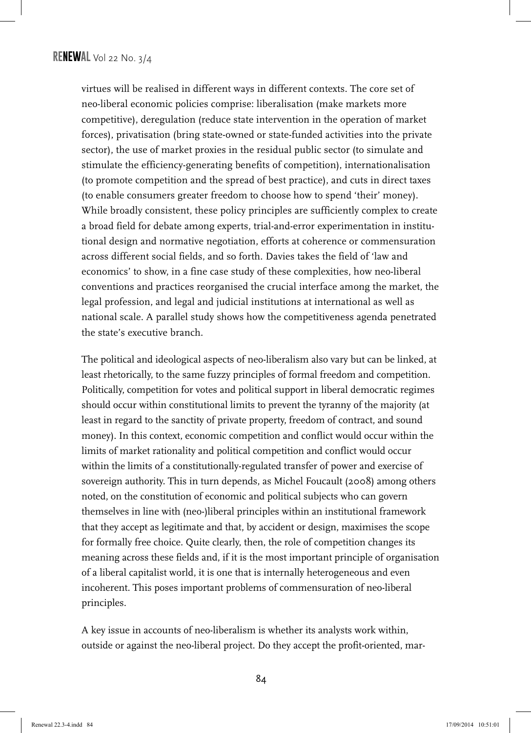virtues will be realised in different ways in different contexts. The core set of neo-liberal economic policies comprise: liberalisation (make markets more competitive), deregulation (reduce state intervention in the operation of market forces), privatisation (bring state-owned or state-funded activities into the private sector), the use of market proxies in the residual public sector (to simulate and stimulate the efficiency-generating benefits of competition), internationalisation (to promote competition and the spread of best practice), and cuts in direct taxes (to enable consumers greater freedom to choose how to spend 'their' money). While broadly consistent, these policy principles are sufficiently complex to create a broad field for debate among experts, trial-and-error experimentation in institutional design and normative negotiation, efforts at coherence or commensuration across different social fields, and so forth. Davies takes the field of 'law and economics' to show, in a fine case study of these complexities, how neo-liberal conventions and practices reorganised the crucial interface among the market, the legal profession, and legal and judicial institutions at international as well as national scale. A parallel study shows how the competitiveness agenda penetrated the state's executive branch.

The political and ideological aspects of neo-liberalism also vary but can be linked, at least rhetorically, to the same fuzzy principles of formal freedom and competition. Politically, competition for votes and political support in liberal democratic regimes should occur within constitutional limits to prevent the tyranny of the majority (at least in regard to the sanctity of private property, freedom of contract, and sound money). In this context, economic competition and conflict would occur within the limits of market rationality and political competition and conflict would occur within the limits of a constitutionally-regulated transfer of power and exercise of sovereign authority. This in turn depends, as Michel Foucault (2008) among others noted, on the constitution of economic and political subjects who can govern themselves in line with (neo-)liberal principles within an institutional framework that they accept as legitimate and that, by accident or design, maximises the scope for formally free choice. Quite clearly, then, the role of competition changes its meaning across these fields and, if it is the most important principle of organisation of a liberal capitalist world, it is one that is internally heterogeneous and even incoherent. This poses important problems of commensuration of neo-liberal principles.

A key issue in accounts of neo-liberalism is whether its analysts work within, outside or against the neo-liberal project. Do they accept the profit-oriented, mar-

84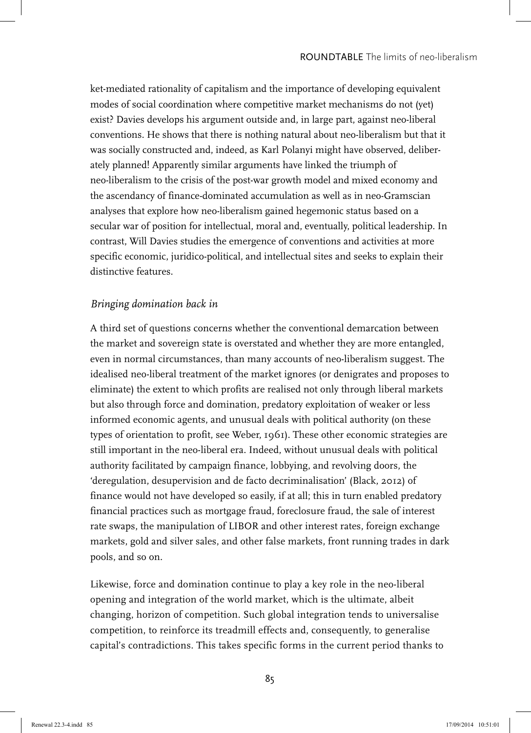ket-mediated rationality of capitalism and the importance of developing equivalent modes of social coordination where competitive market mechanisms do not (yet) exist? Davies develops his argument outside and, in large part, against neo-liberal conventions. He shows that there is nothing natural about neo-liberalism but that it was socially constructed and, indeed, as Karl Polanyi might have observed, deliberately planned! Apparently similar arguments have linked the triumph of neo-liberalism to the crisis of the post-war growth model and mixed economy and the ascendancy of finance-dominated accumulation as well as in neo-Gramscian analyses that explore how neo-liberalism gained hegemonic status based on a secular war of position for intellectual, moral and, eventually, political leadership. In contrast, Will Davies studies the emergence of conventions and activities at more specific economic, juridico-political, and intellectual sites and seeks to explain their distinctive features.

## *Bringing domination back in*

A third set of questions concerns whether the conventional demarcation between the market and sovereign state is overstated and whether they are more entangled, even in normal circumstances, than many accounts of neo-liberalism suggest. The idealised neo-liberal treatment of the market ignores (or denigrates and proposes to eliminate) the extent to which profits are realised not only through liberal markets but also through force and domination, predatory exploitation of weaker or less informed economic agents, and unusual deals with political authority (on these types of orientation to profit, see Weber, 1961). These other economic strategies are still important in the neo-liberal era. Indeed, without unusual deals with political authority facilitated by campaign finance, lobbying, and revolving doors, the 'deregulation, desupervision and de facto decriminalisation' (Black, 2012) of finance would not have developed so easily, if at all; this in turn enabled predatory financial practices such as mortgage fraud, foreclosure fraud, the sale of interest rate swaps, the manipulation of LIBOR and other interest rates, foreign exchange markets, gold and silver sales, and other false markets, front running trades in dark pools, and so on.

Likewise, force and domination continue to play a key role in the neo-liberal opening and integration of the world market, which is the ultimate, albeit changing, horizon of competition. Such global integration tends to universalise competition, to reinforce its treadmill effects and, consequently, to generalise capital's contradictions. This takes specific forms in the current period thanks to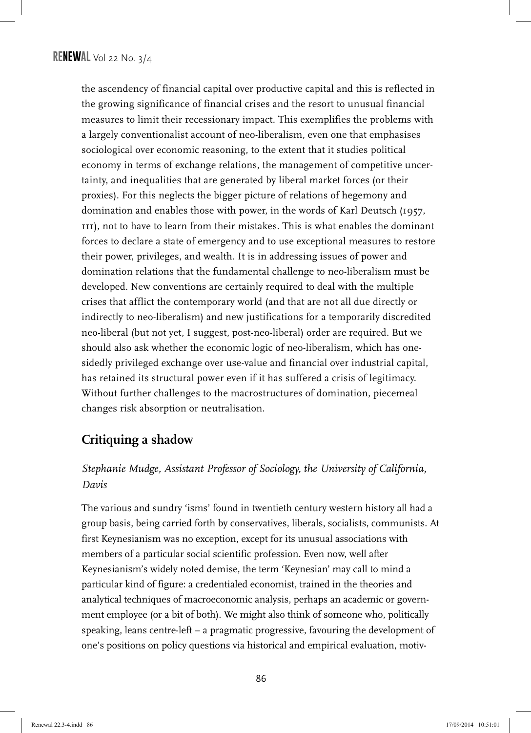the ascendency of financial capital over productive capital and this is reflected in the growing significance of financial crises and the resort to unusual financial measures to limit their recessionary impact. This exemplifies the problems with a largely conventionalist account of neo-liberalism, even one that emphasises sociological over economic reasoning, to the extent that it studies political economy in terms of exchange relations, the management of competitive uncertainty, and inequalities that are generated by liberal market forces (or their proxies). For this neglects the bigger picture of relations of hegemony and domination and enables those with power, in the words of Karl Deutsch (1957, 111), not to have to learn from their mistakes. This is what enables the dominant forces to declare a state of emergency and to use exceptional measures to restore their power, privileges, and wealth. It is in addressing issues of power and domination relations that the fundamental challenge to neo-liberalism must be developed. New conventions are certainly required to deal with the multiple crises that afflict the contemporary world (and that are not all due directly or indirectly to neo-liberalism) and new justifications for a temporarily discredited neo-liberal (but not yet, I suggest, post-neo-liberal) order are required. But we should also ask whether the economic logic of neo-liberalism, which has onesidedly privileged exchange over use-value and financial over industrial capital, has retained its structural power even if it has suffered a crisis of legitimacy. Without further challenges to the macrostructures of domination, piecemeal changes risk absorption or neutralisation.

## **Critiquing a shadow**

## *Stephanie Mudge, Assistant Professor of Sociology, the University of California, Davis*

The various and sundry 'isms' found in twentieth century western history all had a group basis, being carried forth by conservatives, liberals, socialists, communists. At first Keynesianism was no exception, except for its unusual associations with members of a particular social scientific profession. Even now, well after Keynesianism's widely noted demise, the term 'Keynesian' may call to mind a particular kind of figure: a credentialed economist, trained in the theories and analytical techniques of macroeconomic analysis, perhaps an academic or government employee (or a bit of both). We might also think of someone who, politically speaking, leans centre-left – a pragmatic progressive, favouring the development of one's positions on policy questions via historical and empirical evaluation, motiv-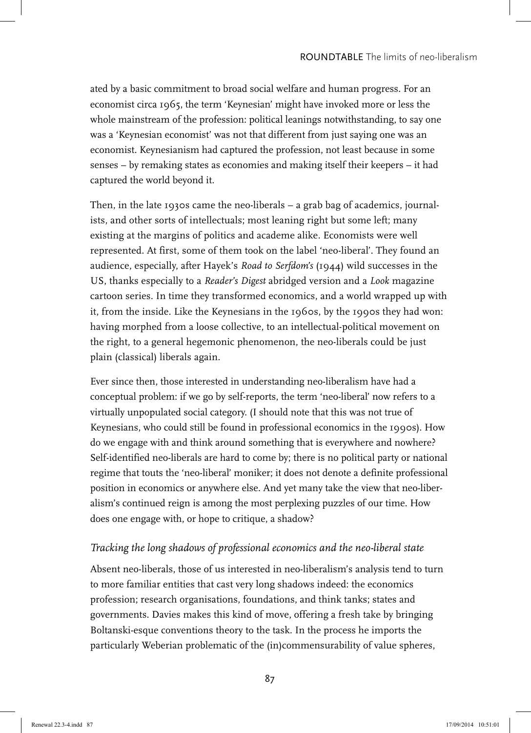ated by a basic commitment to broad social welfare and human progress. For an economist circa 1965, the term 'Keynesian' might have invoked more or less the whole mainstream of the profession: political leanings notwithstanding, to say one was a 'Keynesian economist' was not that different from just saying one was an economist. Keynesianism had captured the profession, not least because in some senses – by remaking states as economies and making itself their keepers – it had captured the world beyond it.

Then, in the late 1930s came the neo-liberals – a grab bag of academics, journalists, and other sorts of intellectuals; most leaning right but some left; many existing at the margins of politics and academe alike. Economists were well represented. At first, some of them took on the label 'neo-liberal'. They found an audience, especially, after Hayek's *Road to Serfdom's* (1944) wild successes in the US, thanks especially to a *Reader's Digest* abridged version and a *Look* magazine cartoon series. In time they transformed economics, and a world wrapped up with it, from the inside. Like the Keynesians in the 1960s, by the 1990s they had won: having morphed from a loose collective, to an intellectual-political movement on the right, to a general hegemonic phenomenon, the neo-liberals could be just plain (classical) liberals again.

Ever since then, those interested in understanding neo-liberalism have had a conceptual problem: if we go by self-reports, the term 'neo-liberal' now refers to a virtually unpopulated social category. (I should note that this was not true of Keynesians, who could still be found in professional economics in the 1990s). How do we engage with and think around something that is everywhere and nowhere? Self-identified neo-liberals are hard to come by; there is no political party or national regime that touts the 'neo-liberal' moniker; it does not denote a definite professional position in economics or anywhere else. And yet many take the view that neo-liberalism's continued reign is among the most perplexing puzzles of our time. How does one engage with, or hope to critique, a shadow?

## *Tracking the long shadows of professional economics and the neo-liberal state*

Absent neo-liberals, those of us interested in neo-liberalism's analysis tend to turn to more familiar entities that cast very long shadows indeed: the economics profession; research organisations, foundations, and think tanks; states and governments. Davies makes this kind of move, offering a fresh take by bringing Boltanski-esque conventions theory to the task. In the process he imports the particularly Weberian problematic of the (in)commensurability of value spheres,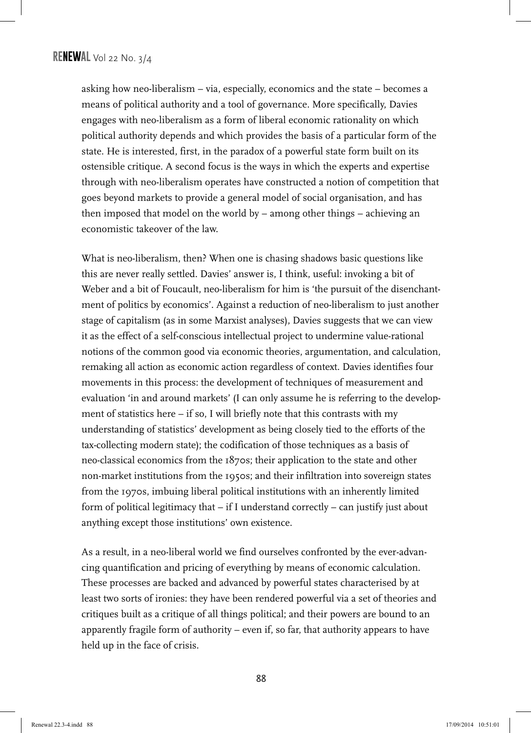asking how neo-liberalism – via, especially, economics and the state – becomes a means of political authority and a tool of governance. More specifically, Davies engages with neo-liberalism as a form of liberal economic rationality on which political authority depends and which provides the basis of a particular form of the state. He is interested, first, in the paradox of a powerful state form built on its ostensible critique. A second focus is the ways in which the experts and expertise through with neo-liberalism operates have constructed a notion of competition that goes beyond markets to provide a general model of social organisation, and has then imposed that model on the world by – among other things – achieving an economistic takeover of the law.

What is neo-liberalism, then? When one is chasing shadows basic questions like this are never really settled. Davies' answer is, I think, useful: invoking a bit of Weber and a bit of Foucault, neo-liberalism for him is 'the pursuit of the disenchantment of politics by economics'. Against a reduction of neo-liberalism to just another stage of capitalism (as in some Marxist analyses), Davies suggests that we can view it as the effect of a self-conscious intellectual project to undermine value-rational notions of the common good via economic theories, argumentation, and calculation, remaking all action as economic action regardless of context. Davies identifies four movements in this process: the development of techniques of measurement and evaluation 'in and around markets' (I can only assume he is referring to the development of statistics here – if so, I will briefly note that this contrasts with my understanding of statistics' development as being closely tied to the efforts of the tax-collecting modern state); the codification of those techniques as a basis of neo-classical economics from the 1870s; their application to the state and other non-market institutions from the 1950s; and their infiltration into sovereign states from the 1970s, imbuing liberal political institutions with an inherently limited form of political legitimacy that – if I understand correctly – can justify just about anything except those institutions' own existence.

As a result, in a neo-liberal world we find ourselves confronted by the ever-advancing quantification and pricing of everything by means of economic calculation. These processes are backed and advanced by powerful states characterised by at least two sorts of ironies: they have been rendered powerful via a set of theories and critiques built as a critique of all things political; and their powers are bound to an apparently fragile form of authority – even if, so far, that authority appears to have held up in the face of crisis.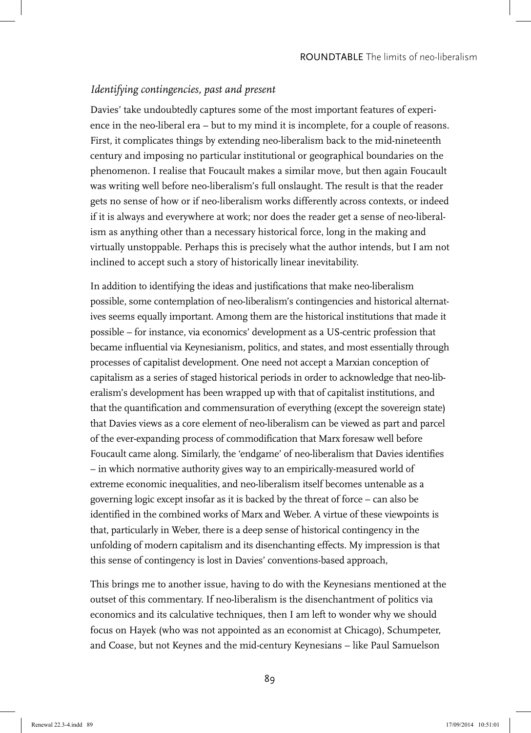## *Identifying contingencies, past and present*

Davies' take undoubtedly captures some of the most important features of experience in the neo-liberal era – but to my mind it is incomplete, for a couple of reasons. First, it complicates things by extending neo-liberalism back to the mid-nineteenth century and imposing no particular institutional or geographical boundaries on the phenomenon. I realise that Foucault makes a similar move, but then again Foucault was writing well before neo-liberalism's full onslaught. The result is that the reader gets no sense of how or if neo-liberalism works differently across contexts, or indeed if it is always and everywhere at work; nor does the reader get a sense of neo-liberalism as anything other than a necessary historical force, long in the making and virtually unstoppable. Perhaps this is precisely what the author intends, but I am not inclined to accept such a story of historically linear inevitability.

In addition to identifying the ideas and justifications that make neo-liberalism possible, some contemplation of neo-liberalism's contingencies and historical alternatives seems equally important. Among them are the historical institutions that made it possible – for instance, via economics' development as a US-centric profession that became influential via Keynesianism, politics, and states, and most essentially through processes of capitalist development. One need not accept a Marxian conception of capitalism as a series of staged historical periods in order to acknowledge that neo-liberalism's development has been wrapped up with that of capitalist institutions, and that the quantification and commensuration of everything (except the sovereign state) that Davies views as a core element of neo-liberalism can be viewed as part and parcel of the ever-expanding process of commodification that Marx foresaw well before Foucault came along. Similarly, the 'endgame' of neo-liberalism that Davies identifies – in which normative authority gives way to an empirically-measured world of extreme economic inequalities, and neo-liberalism itself becomes untenable as a governing logic except insofar as it is backed by the threat of force – can also be identified in the combined works of Marx and Weber. A virtue of these viewpoints is that, particularly in Weber, there is a deep sense of historical contingency in the unfolding of modern capitalism and its disenchanting effects. My impression is that this sense of contingency is lost in Davies' conventions-based approach,

This brings me to another issue, having to do with the Keynesians mentioned at the outset of this commentary. If neo-liberalism is the disenchantment of politics via economics and its calculative techniques, then I am left to wonder why we should focus on Hayek (who was not appointed as an economist at Chicago), Schumpeter, and Coase, but not Keynes and the mid-century Keynesians – like Paul Samuelson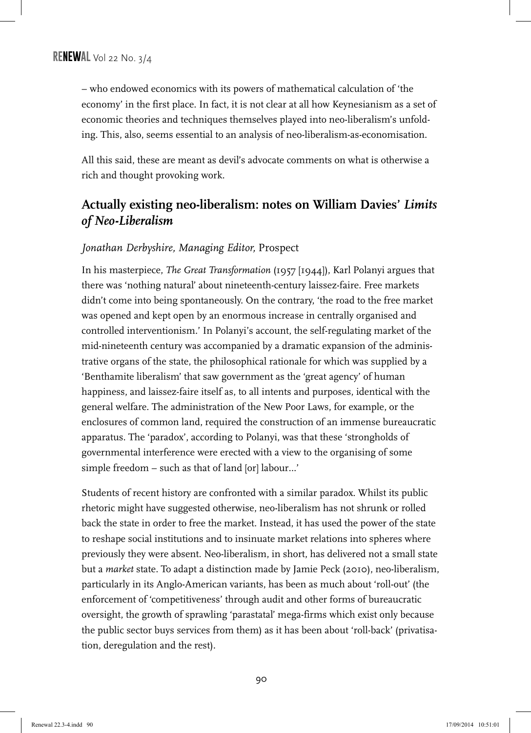– who endowed economics with its powers of mathematical calculation of 'the economy' in the first place. In fact, it is not clear at all how Keynesianism as a set of economic theories and techniques themselves played into neo-liberalism's unfolding. This, also, seems essential to an analysis of neo-liberalism-as-economisation.

All this said, these are meant as devil's advocate comments on what is otherwise a rich and thought provoking work.

# **Actually existing neo-liberalism: notes on William Davies'** *Limits of Neo-Liberalism*

## *Jonathan Derbyshire, Managing Editor,* Prospect

In his masterpiece, *The Great Transformation* (1957 [1944]), Karl Polanyi argues that there was 'nothing natural' about nineteenth-century laissez-faire. Free markets didn't come into being spontaneously. On the contrary, 'the road to the free market was opened and kept open by an enormous increase in centrally organised and controlled interventionism.' In Polanyi's account, the self-regulating market of the mid-nineteenth century was accompanied by a dramatic expansion of the administrative organs of the state, the philosophical rationale for which was supplied by a 'Benthamite liberalism' that saw government as the 'great agency' of human happiness, and laissez-faire itself as, to all intents and purposes, identical with the general welfare. The administration of the New Poor Laws, for example, or the enclosures of common land, required the construction of an immense bureaucratic apparatus. The 'paradox', according to Polanyi, was that these 'strongholds of governmental interference were erected with a view to the organising of some simple freedom – such as that of land [or] labour…'

Students of recent history are confronted with a similar paradox. Whilst its public rhetoric might have suggested otherwise, neo-liberalism has not shrunk or rolled back the state in order to free the market. Instead, it has used the power of the state to reshape social institutions and to insinuate market relations into spheres where previously they were absent. Neo-liberalism, in short, has delivered not a small state but a *market* state. To adapt a distinction made by Jamie Peck (2010), neo-liberalism, particularly in its Anglo-American variants, has been as much about 'roll-out' (the enforcement of 'competitiveness' through audit and other forms of bureaucratic oversight, the growth of sprawling 'parastatal' mega-firms which exist only because the public sector buys services from them) as it has been about 'roll-back' (privatisation, deregulation and the rest).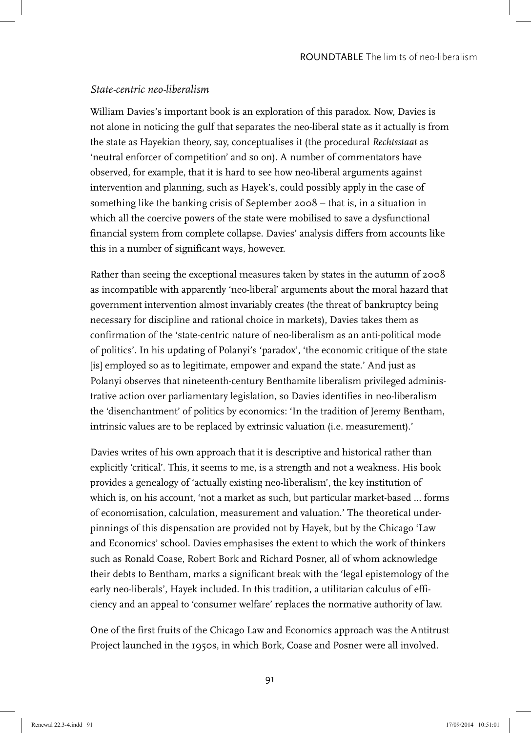## *State-centric neo-liberalism*

William Davies's important book is an exploration of this paradox. Now, Davies is not alone in noticing the gulf that separates the neo-liberal state as it actually is from the state as Hayekian theory, say, conceptualises it (the procedural *Rechtsstaat* as 'neutral enforcer of competition' and so on). A number of commentators have observed, for example, that it is hard to see how neo-liberal arguments against intervention and planning, such as Hayek's, could possibly apply in the case of something like the banking crisis of September 2008 – that is, in a situation in which all the coercive powers of the state were mobilised to save a dysfunctional financial system from complete collapse. Davies' analysis differs from accounts like this in a number of significant ways, however.

Rather than seeing the exceptional measures taken by states in the autumn of 2008 as incompatible with apparently 'neo-liberal' arguments about the moral hazard that government intervention almost invariably creates (the threat of bankruptcy being necessary for discipline and rational choice in markets), Davies takes them as confirmation of the 'state-centric nature of neo-liberalism as an anti-political mode of politics'. In his updating of Polanyi's 'paradox', 'the economic critique of the state [is] employed so as to legitimate, empower and expand the state.' And just as Polanyi observes that nineteenth-century Benthamite liberalism privileged administrative action over parliamentary legislation, so Davies identifies in neo-liberalism the 'disenchantment' of politics by economics: 'In the tradition of Jeremy Bentham, intrinsic values are to be replaced by extrinsic valuation (i.e. measurement).'

Davies writes of his own approach that it is descriptive and historical rather than explicitly 'critical'. This, it seems to me, is a strength and not a weakness. His book provides a genealogy of 'actually existing neo-liberalism', the key institution of which is, on his account, 'not a market as such, but particular market-based … forms of economisation, calculation, measurement and valuation.' The theoretical underpinnings of this dispensation are provided not by Hayek, but by the Chicago 'Law and Economics' school. Davies emphasises the extent to which the work of thinkers such as Ronald Coase, Robert Bork and Richard Posner, all of whom acknowledge their debts to Bentham, marks a significant break with the 'legal epistemology of the early neo-liberals', Hayek included. In this tradition, a utilitarian calculus of efficiency and an appeal to 'consumer welfare' replaces the normative authority of law.

One of the first fruits of the Chicago Law and Economics approach was the Antitrust Project launched in the 1950s, in which Bork, Coase and Posner were all involved.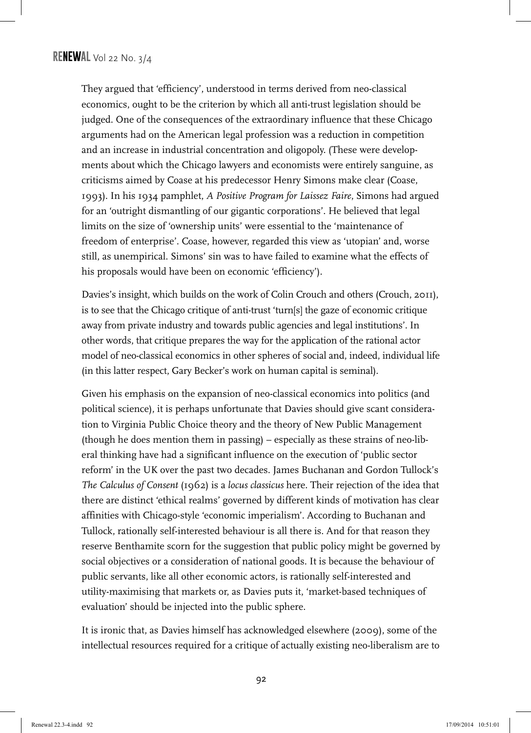They argued that 'efficiency', understood in terms derived from neo-classical economics, ought to be the criterion by which all anti-trust legislation should be judged. One of the consequences of the extraordinary influence that these Chicago arguments had on the American legal profession was a reduction in competition and an increase in industrial concentration and oligopoly. (These were developments about which the Chicago lawyers and economists were entirely sanguine, as criticisms aimed by Coase at his predecessor Henry Simons make clear (Coase, 1993). In his 1934 pamphlet, *A Positive Program for Laissez Faire*, Simons had argued for an 'outright dismantling of our gigantic corporations'. He believed that legal limits on the size of 'ownership units' were essential to the 'maintenance of freedom of enterprise'. Coase, however, regarded this view as 'utopian' and, worse still, as unempirical. Simons' sin was to have failed to examine what the effects of his proposals would have been on economic 'efficiency').

Davies's insight, which builds on the work of Colin Crouch and others (Crouch, 2011), is to see that the Chicago critique of anti-trust 'turn[s] the gaze of economic critique away from private industry and towards public agencies and legal institutions'. In other words, that critique prepares the way for the application of the rational actor model of neo-classical economics in other spheres of social and, indeed, individual life (in this latter respect, Gary Becker's work on human capital is seminal).

Given his emphasis on the expansion of neo-classical economics into politics (and political science), it is perhaps unfortunate that Davies should give scant consideration to Virginia Public Choice theory and the theory of New Public Management (though he does mention them in passing) – especially as these strains of neo-liberal thinking have had a significant influence on the execution of 'public sector reform' in the UK over the past two decades. James Buchanan and Gordon Tullock's *The Calculus of Consent* (1962) is a *locus classicus* here. Their rejection of the idea that there are distinct 'ethical realms' governed by different kinds of motivation has clear affinities with Chicago-style 'economic imperialism'. According to Buchanan and Tullock, rationally self-interested behaviour is all there is. And for that reason they reserve Benthamite scorn for the suggestion that public policy might be governed by social objectives or a consideration of national goods. It is because the behaviour of public servants, like all other economic actors, is rationally self-interested and utility-maximising that markets or, as Davies puts it, 'market-based techniques of evaluation' should be injected into the public sphere.

It is ironic that, as Davies himself has acknowledged elsewhere (2009), some of the intellectual resources required for a critique of actually existing neo-liberalism are to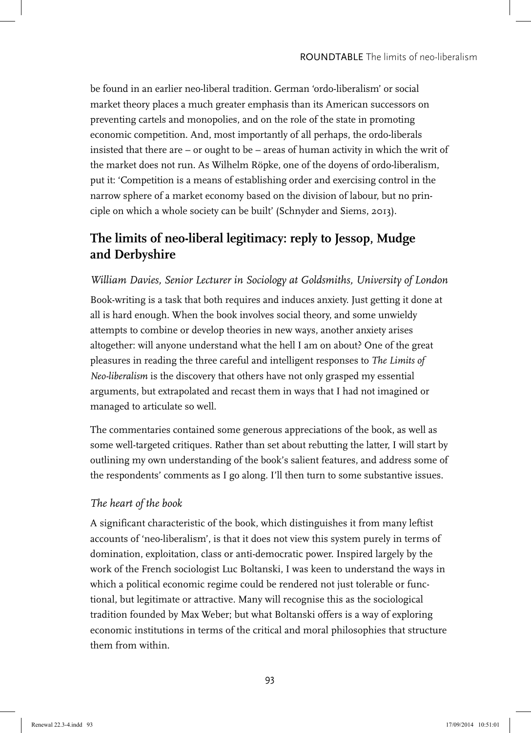be found in an earlier neo-liberal tradition. German 'ordo-liberalism' or social market theory places a much greater emphasis than its American successors on preventing cartels and monopolies, and on the role of the state in promoting economic competition. And, most importantly of all perhaps, the ordo-liberals insisted that there are – or ought to be – areas of human activity in which the writ of the market does not run. As Wilhelm Röpke, one of the doyens of ordo-liberalism, put it: 'Competition is a means of establishing order and exercising control in the narrow sphere of a market economy based on the division of labour, but no principle on which a whole society can be built' (Schnyder and Siems, 2013).

# **The limits of neo-liberal legitimacy: reply to Jessop, Mudge and Derbyshire**

## *William Davies, Senior Lecturer in Sociology at Goldsmiths, University of London*

Book-writing is a task that both requires and induces anxiety. Just getting it done at all is hard enough. When the book involves social theory, and some unwieldy attempts to combine or develop theories in new ways, another anxiety arises altogether: will anyone understand what the hell I am on about? One of the great pleasures in reading the three careful and intelligent responses to *The Limits of Neo-liberalism* is the discovery that others have not only grasped my essential arguments, but extrapolated and recast them in ways that I had not imagined or managed to articulate so well.

The commentaries contained some generous appreciations of the book, as well as some well-targeted critiques. Rather than set about rebutting the latter, I will start by outlining my own understanding of the book's salient features, and address some of the respondents' comments as I go along. I'll then turn to some substantive issues.

### *The heart of the book*

A significant characteristic of the book, which distinguishes it from many leftist accounts of 'neo-liberalism', is that it does not view this system purely in terms of domination, exploitation, class or anti-democratic power. Inspired largely by the work of the French sociologist Luc Boltanski, I was keen to understand the ways in which a political economic regime could be rendered not just tolerable or functional, but legitimate or attractive. Many will recognise this as the sociological tradition founded by Max Weber; but what Boltanski offers is a way of exploring economic institutions in terms of the critical and moral philosophies that structure them from within.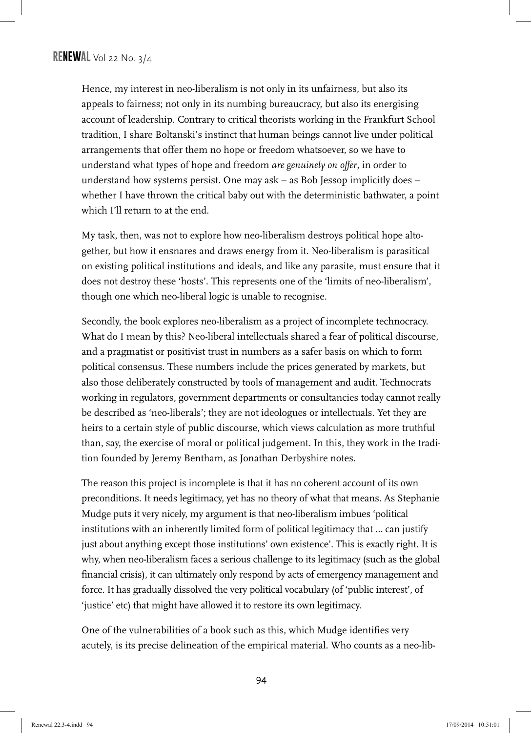Hence, my interest in neo-liberalism is not only in its unfairness, but also its appeals to fairness; not only in its numbing bureaucracy, but also its energising account of leadership. Contrary to critical theorists working in the Frankfurt School tradition, I share Boltanski's instinct that human beings cannot live under political arrangements that offer them no hope or freedom whatsoever, so we have to understand what types of hope and freedom *are genuinely on offer*, in order to understand how systems persist. One may ask – as Bob Jessop implicitly does – whether I have thrown the critical baby out with the deterministic bathwater, a point which I'll return to at the end.

My task, then, was not to explore how neo-liberalism destroys political hope altogether, but how it ensnares and draws energy from it. Neo-liberalism is parasitical on existing political institutions and ideals, and like any parasite, must ensure that it does not destroy these 'hosts'. This represents one of the 'limits of neo-liberalism', though one which neo-liberal logic is unable to recognise.

Secondly, the book explores neo-liberalism as a project of incomplete technocracy. What do I mean by this? Neo-liberal intellectuals shared a fear of political discourse, and a pragmatist or positivist trust in numbers as a safer basis on which to form political consensus. These numbers include the prices generated by markets, but also those deliberately constructed by tools of management and audit. Technocrats working in regulators, government departments or consultancies today cannot really be described as 'neo-liberals'; they are not ideologues or intellectuals. Yet they are heirs to a certain style of public discourse, which views calculation as more truthful than, say, the exercise of moral or political judgement. In this, they work in the tradition founded by Jeremy Bentham, as Jonathan Derbyshire notes.

The reason this project is incomplete is that it has no coherent account of its own preconditions. It needs legitimacy, yet has no theory of what that means. As Stephanie Mudge puts it very nicely, my argument is that neo-liberalism imbues 'political institutions with an inherently limited form of political legitimacy that … can justify just about anything except those institutions' own existence'. This is exactly right. It is why, when neo-liberalism faces a serious challenge to its legitimacy (such as the global financial crisis), it can ultimately only respond by acts of emergency management and force. It has gradually dissolved the very political vocabulary (of 'public interest', of 'justice' etc) that might have allowed it to restore its own legitimacy.

One of the vulnerabilities of a book such as this, which Mudge identifies very acutely, is its precise delineation of the empirical material. Who counts as a neo-lib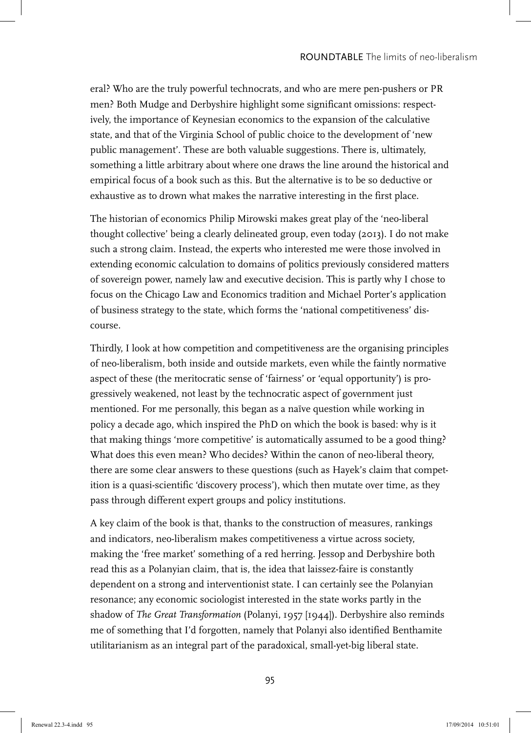eral? Who are the truly powerful technocrats, and who are mere pen-pushers or PR men? Both Mudge and Derbyshire highlight some significant omissions: respectively, the importance of Keynesian economics to the expansion of the calculative state, and that of the Virginia School of public choice to the development of 'new public management'. These are both valuable suggestions. There is, ultimately, something a little arbitrary about where one draws the line around the historical and empirical focus of a book such as this. But the alternative is to be so deductive or exhaustive as to drown what makes the narrative interesting in the first place.

The historian of economics Philip Mirowski makes great play of the 'neo-liberal thought collective' being a clearly delineated group, even today (2013). I do not make such a strong claim. Instead, the experts who interested me were those involved in extending economic calculation to domains of politics previously considered matters of sovereign power, namely law and executive decision. This is partly why I chose to focus on the Chicago Law and Economics tradition and Michael Porter's application of business strategy to the state, which forms the 'national competitiveness' discourse.

Thirdly, I look at how competition and competitiveness are the organising principles of neo-liberalism, both inside and outside markets, even while the faintly normative aspect of these (the meritocratic sense of 'fairness' or 'equal opportunity') is progressively weakened, not least by the technocratic aspect of government just mentioned. For me personally, this began as a naïve question while working in policy a decade ago, which inspired the PhD on which the book is based: why is it that making things 'more competitive' is automatically assumed to be a good thing? What does this even mean? Who decides? Within the canon of neo-liberal theory, there are some clear answers to these questions (such as Hayek's claim that competition is a quasi-scientific 'discovery process'), which then mutate over time, as they pass through different expert groups and policy institutions.

A key claim of the book is that, thanks to the construction of measures, rankings and indicators, neo-liberalism makes competitiveness a virtue across society, making the 'free market' something of a red herring. Jessop and Derbyshire both read this as a Polanyian claim, that is, the idea that laissez-faire is constantly dependent on a strong and interventionist state. I can certainly see the Polanyian resonance; any economic sociologist interested in the state works partly in the shadow of *The Great Transformation* (Polanyi, 1957 [1944]). Derbyshire also reminds me of something that I'd forgotten, namely that Polanyi also identified Benthamite utilitarianism as an integral part of the paradoxical, small-yet-big liberal state.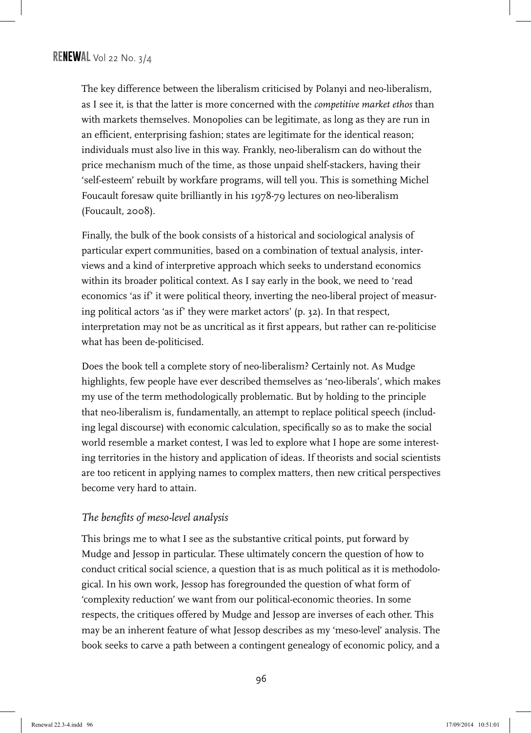The key difference between the liberalism criticised by Polanyi and neo-liberalism, as I see it, is that the latter is more concerned with the *competitive market ethos* than with markets themselves. Monopolies can be legitimate, as long as they are run in an efficient, enterprising fashion; states are legitimate for the identical reason; individuals must also live in this way. Frankly, neo-liberalism can do without the price mechanism much of the time, as those unpaid shelf-stackers, having their 'self-esteem' rebuilt by workfare programs, will tell you. This is something Michel Foucault foresaw quite brilliantly in his 1978-79 lectures on neo-liberalism (Foucault, 2008).

Finally, the bulk of the book consists of a historical and sociological analysis of particular expert communities, based on a combination of textual analysis, interviews and a kind of interpretive approach which seeks to understand economics within its broader political context. As I say early in the book, we need to 'read economics 'as if' it were political theory, inverting the neo-liberal project of measuring political actors 'as if' they were market actors' (p. 32). In that respect, interpretation may not be as uncritical as it first appears, but rather can re-politicise what has been de-politicised.

Does the book tell a complete story of neo-liberalism? Certainly not. As Mudge highlights, few people have ever described themselves as 'neo-liberals', which makes my use of the term methodologically problematic. But by holding to the principle that neo-liberalism is, fundamentally, an attempt to replace political speech (including legal discourse) with economic calculation, specifically so as to make the social world resemble a market contest, I was led to explore what I hope are some interesting territories in the history and application of ideas. If theorists and social scientists are too reticent in applying names to complex matters, then new critical perspectives become very hard to attain.

### *The benefits of meso-level analysis*

This brings me to what I see as the substantive critical points, put forward by Mudge and Jessop in particular. These ultimately concern the question of how to conduct critical social science, a question that is as much political as it is methodological. In his own work, Jessop has foregrounded the question of what form of 'complexity reduction' we want from our political-economic theories. In some respects, the critiques offered by Mudge and Jessop are inverses of each other. This may be an inherent feature of what Jessop describes as my 'meso-level' analysis. The book seeks to carve a path between a contingent genealogy of economic policy, and a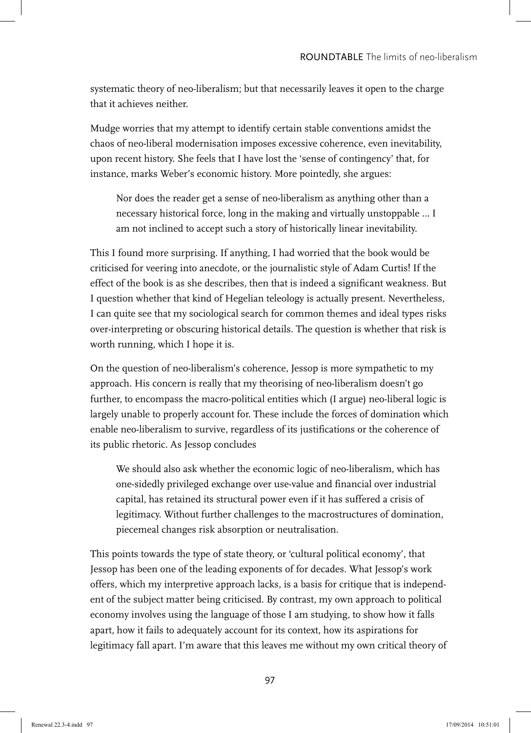systematic theory of neo-liberalism; but that necessarily leaves it open to the charge that it achieves neither.

Mudge worries that my attempt to identify certain stable conventions amidst the chaos of neo-liberal modernisation imposes excessive coherence, even inevitability, upon recent history. She feels that I have lost the 'sense of contingency' that, for instance, marks Weber's economic history. More pointedly, she argues:

Nor does the reader get a sense of neo-liberalism as anything other than a necessary historical force, long in the making and virtually unstoppable … I am not inclined to accept such a story of historically linear inevitability.

This I found more surprising. If anything, I had worried that the book would be criticised for veering into anecdote, or the journalistic style of Adam Curtis! If the effect of the book is as she describes, then that is indeed a significant weakness. But I question whether that kind of Hegelian teleology is actually present. Nevertheless, I can quite see that my sociological search for common themes and ideal types risks over-interpreting or obscuring historical details. The question is whether that risk is worth running, which I hope it is.

On the question of neo-liberalism's coherence, Jessop is more sympathetic to my approach. His concern is really that my theorising of neo-liberalism doesn't go further, to encompass the macro-political entities which (I argue) neo-liberal logic is largely unable to properly account for. These include the forces of domination which enable neo-liberalism to survive, regardless of its justifications or the coherence of its public rhetoric. As Jessop concludes

We should also ask whether the economic logic of neo-liberalism, which has one-sidedly privileged exchange over use-value and financial over industrial capital, has retained its structural power even if it has suffered a crisis of legitimacy. Without further challenges to the macrostructures of domination, piecemeal changes risk absorption or neutralisation.

This points towards the type of state theory, or 'cultural political economy', that Jessop has been one of the leading exponents of for decades. What Jessop's work offers, which my interpretive approach lacks, is a basis for critique that is independent of the subject matter being criticised. By contrast, my own approach to political economy involves using the language of those I am studying, to show how it falls apart, how it fails to adequately account for its context, how its aspirations for legitimacy fall apart. I'm aware that this leaves me without my own critical theory of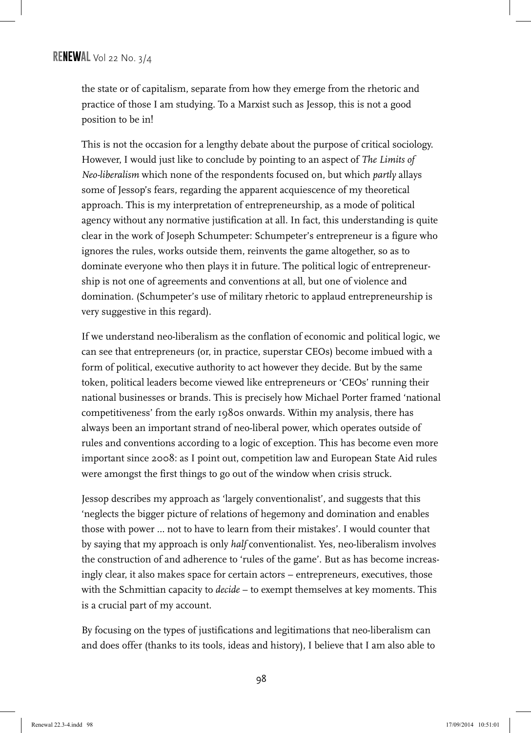the state or of capitalism, separate from how they emerge from the rhetoric and practice of those I am studying. To a Marxist such as Jessop, this is not a good position to be in!

This is not the occasion for a lengthy debate about the purpose of critical sociology. However, I would just like to conclude by pointing to an aspect of *The Limits of Neo-liberalism* which none of the respondents focused on, but which *partly* allays some of Jessop's fears, regarding the apparent acquiescence of my theoretical approach. This is my interpretation of entrepreneurship, as a mode of political agency without any normative justification at all. In fact, this understanding is quite clear in the work of Joseph Schumpeter: Schumpeter's entrepreneur is a figure who ignores the rules, works outside them, reinvents the game altogether, so as to dominate everyone who then plays it in future. The political logic of entrepreneurship is not one of agreements and conventions at all, but one of violence and domination. (Schumpeter's use of military rhetoric to applaud entrepreneurship is very suggestive in this regard).

If we understand neo-liberalism as the conflation of economic and political logic, we can see that entrepreneurs (or, in practice, superstar CEOs) become imbued with a form of political, executive authority to act however they decide. But by the same token, political leaders become viewed like entrepreneurs or 'CEOs' running their national businesses or brands. This is precisely how Michael Porter framed 'national competitiveness' from the early 1980s onwards. Within my analysis, there has always been an important strand of neo-liberal power, which operates outside of rules and conventions according to a logic of exception. This has become even more important since 2008: as I point out, competition law and European State Aid rules were amongst the first things to go out of the window when crisis struck.

Jessop describes my approach as 'largely conventionalist', and suggests that this 'neglects the bigger picture of relations of hegemony and domination and enables those with power … not to have to learn from their mistakes'. I would counter that by saying that my approach is only *half* conventionalist. Yes, neo-liberalism involves the construction of and adherence to 'rules of the game'. But as has become increasingly clear, it also makes space for certain actors – entrepreneurs, executives, those with the Schmittian capacity to *decide* – to exempt themselves at key moments. This is a crucial part of my account.

By focusing on the types of justifications and legitimations that neo-liberalism can and does offer (thanks to its tools, ideas and history), I believe that I am also able to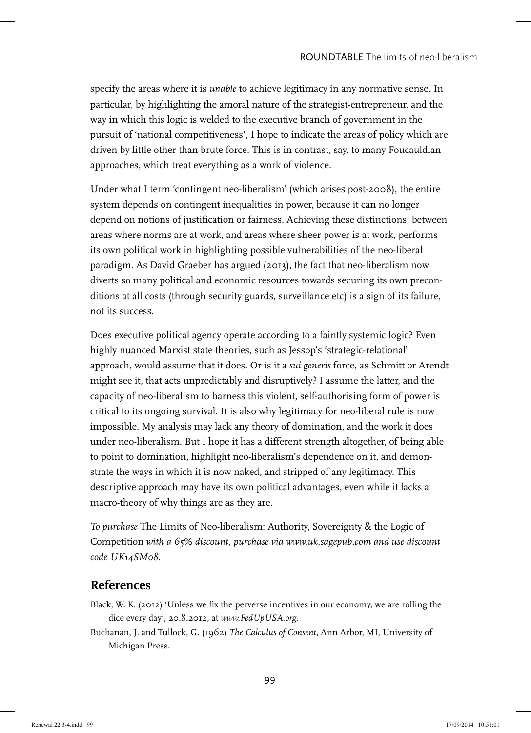specify the areas where it is *unable* to achieve legitimacy in any normative sense. In particular, by highlighting the amoral nature of the strategist-entrepreneur, and the way in which this logic is welded to the executive branch of government in the pursuit of 'national competitiveness', I hope to indicate the areas of policy which are driven by little other than brute force. This is in contrast, say, to many Foucauldian approaches, which treat everything as a work of violence.

Under what I term 'contingent neo-liberalism' (which arises post-2008), the entire system depends on contingent inequalities in power, because it can no longer depend on notions of justification or fairness. Achieving these distinctions, between areas where norms are at work, and areas where sheer power is at work, performs its own political work in highlighting possible vulnerabilities of the neo-liberal paradigm. As David Graeber has argued (2013), the fact that neo-liberalism now diverts so many political and economic resources towards securing its own preconditions at all costs (through security guards, surveillance etc) is a sign of its failure, not its success.

Does executive political agency operate according to a faintly systemic logic? Even highly nuanced Marxist state theories, such as Jessop's 'strategic-relational' approach, would assume that it does. Or is it a *sui generis* force, as Schmitt or Arendt might see it, that acts unpredictably and disruptively? I assume the latter, and the capacity of neo-liberalism to harness this violent, self-authorising form of power is critical to its ongoing survival. It is also why legitimacy for neo-liberal rule is now impossible. My analysis may lack any theory of domination, and the work it does under neo-liberalism. But I hope it has a different strength altogether, of being able to point to domination, highlight neo-liberalism's dependence on it, and demonstrate the ways in which it is now naked, and stripped of any legitimacy. This descriptive approach may have its own political advantages, even while it lacks a macro-theory of why things are as they are.

*To purchase* The Limits of Neo-liberalism: Authority, Sovereignty & the Logic of Competition *with a 65% discount, purchase via www.uk.sagepub.com and use discount code UK14SM08*.

## **References**

- Black, W. K. (2012) 'Unless we fix the perverse incentives in our economy, we are rolling the dice every day', 20.8.2012, at *www.FedUpUSA.org*.
- Buchanan, J. and Tullock, G. (1962) *The Calculus of Consent*, Ann Arbor, MI, University of Michigan Press.